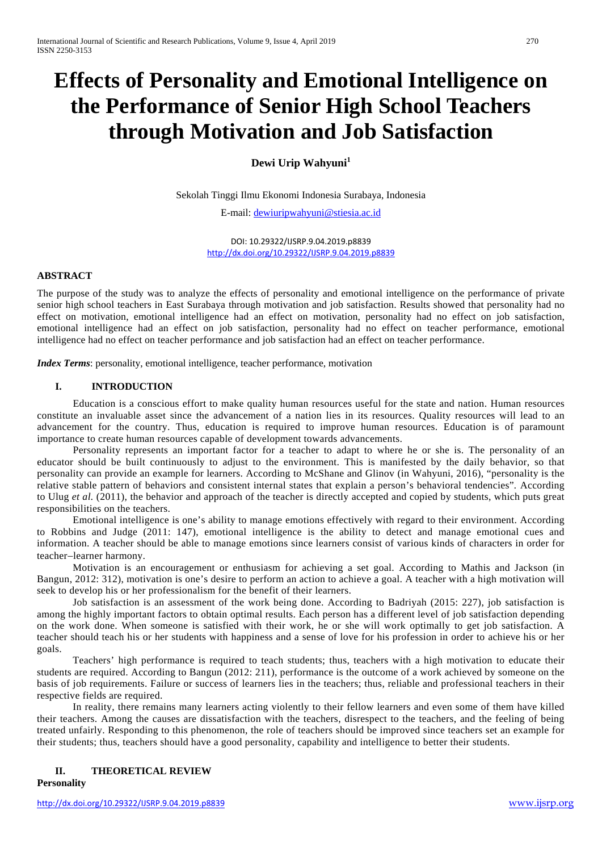# **Effects of Personality and Emotional Intelligence on the Performance of Senior High School Teachers through Motivation and Job Satisfaction**

# Dewi Urip Wahyuni<sup>1</sup>

Sekolah Tinggi Ilmu Ekonomi Indonesia Surabaya, Indonesia

E-mail: [dewiuripwahyuni@stiesia.ac.id](mailto:dewiuripwahyuni@stiesia.ac.id)

DOI: 10.29322/IJSRP.9.04.2019.p8839 <http://dx.doi.org/10.29322/IJSRP.9.04.2019.p8839>

# **ABSTRACT**

The purpose of the study was to analyze the effects of personality and emotional intelligence on the performance of private senior high school teachers in East Surabaya through motivation and job satisfaction. Results showed that personality had no effect on motivation, emotional intelligence had an effect on motivation, personality had no effect on job satisfaction, emotional intelligence had an effect on job satisfaction, personality had no effect on teacher performance, emotional intelligence had no effect on teacher performance and job satisfaction had an effect on teacher performance.

*Index Terms*: personality, emotional intelligence, teacher performance, motivation

## **I. INTRODUCTION**

Education is a conscious effort to make quality human resources useful for the state and nation. Human resources constitute an invaluable asset since the advancement of a nation lies in its resources. Quality resources will lead to an advancement for the country. Thus, education is required to improve human resources. Education is of paramount importance to create human resources capable of development towards advancements.

Personality represents an important factor for a teacher to adapt to where he or she is. The personality of an educator should be built continuously to adjust to the environment. This is manifested by the daily behavior, so that personality can provide an example for learners. According to McShane and Glinov (in Wahyuni, 2016), "personality is the relative stable pattern of behaviors and consistent internal states that explain a person's behavioral tendencies"*.* According to Ulug *et al.* (2011), the behavior and approach of the teacher is directly accepted and copied by students, which puts great responsibilities on the teachers.

Emotional intelligence is one's ability to manage emotions effectively with regard to their environment. According to Robbins and Judge (2011: 147), emotional intelligence is the ability to detect and manage emotional cues and information. A teacher should be able to manage emotions since learners consist of various kinds of characters in order for teacher−learner harmony.

Motivation is an encouragement or enthusiasm for achieving a set goal. According to Mathis and Jackson (in Bangun, 2012: 312), motivation is one's desire to perform an action to achieve a goal. A teacher with a high motivation will seek to develop his or her professionalism for the benefit of their learners.

Job satisfaction is an assessment of the work being done. According to Badriyah (2015: 227), job satisfaction is among the highly important factors to obtain optimal results. Each person has a different level of job satisfaction depending on the work done. When someone is satisfied with their work, he or she will work optimally to get job satisfaction. A teacher should teach his or her students with happiness and a sense of love for his profession in order to achieve his or her goals.

Teachers' high performance is required to teach students; thus, teachers with a high motivation to educate their students are required. According to Bangun (2012: 211), performance is the outcome of a work achieved by someone on the basis of job requirements. Failure or success of learners lies in the teachers; thus, reliable and professional teachers in their respective fields are required.

In reality, there remains many learners acting violently to their fellow learners and even some of them have killed their teachers. Among the causes are dissatisfaction with the teachers, disrespect to the teachers, and the feeling of being treated unfairly. Responding to this phenomenon, the role of teachers should be improved since teachers set an example for their students; thus, teachers should have a good personality, capability and intelligence to better their students.

#### **II. THEORETICAL REVIEW Personality**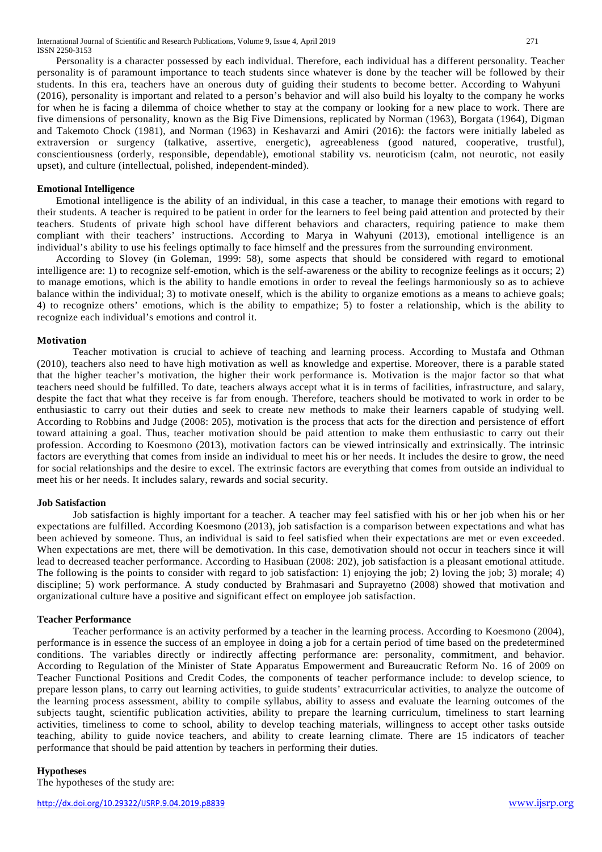Personality is a character possessed by each individual. Therefore, each individual has a different personality. Teacher personality is of paramount importance to teach students since whatever is done by the teacher will be followed by their students. In this era, teachers have an onerous duty of guiding their students to become better. According to Wahyuni

(2016), personality is important and related to a person's behavior and will also build his loyalty to the company he works for when he is facing a dilemma of choice whether to stay at the company or looking for a new place to work. There are five dimensions of personality, known as the Big Five Dimensions, replicated by Norman (1963), Borgata (1964), Digman and Takemoto Chock (1981), and Norman (1963) in Keshavarzi and Amiri (2016): the factors were initially labeled as extraversion or surgency (talkative, assertive, energetic), agreeableness (good natured, cooperative, trustful), conscientiousness (orderly, responsible, dependable), emotional stability vs. neuroticism (calm, not neurotic, not easily upset), and culture (intellectual, polished, independent-minded).

#### **Emotional Intelligence**

 Emotional intelligence is the ability of an individual, in this case a teacher, to manage their emotions with regard to their students. A teacher is required to be patient in order for the learners to feel being paid attention and protected by their teachers. Students of private high school have different behaviors and characters, requiring patience to make them compliant with their teachers' instructions. According to Marya in Wahyuni (2013), emotional intelligence is an individual's ability to use his feelings optimally to face himself and the pressures from the surrounding environment.

 According to Slovey (in Goleman, 1999: 58), some aspects that should be considered with regard to emotional intelligence are: 1) to recognize self-emotion, which is the self-awareness or the ability to recognize feelings as it occurs; 2) to manage emotions, which is the ability to handle emotions in order to reveal the feelings harmoniously so as to achieve balance within the individual; 3) to motivate oneself, which is the ability to organize emotions as a means to achieve goals; 4) to recognize others' emotions, which is the ability to empathize; 5) to foster a relationship, which is the ability to recognize each individual's emotions and control it.

#### **Motivation**

Teacher motivation is crucial to achieve of teaching and learning process. According to Mustafa and Othman (2010), teachers also need to have high motivation as well as knowledge and expertise. Moreover, there is a parable stated that the higher teacher's motivation, the higher their work performance is. Motivation is the major factor so that what teachers need should be fulfilled. To date, teachers always accept what it is in terms of facilities, infrastructure, and salary, despite the fact that what they receive is far from enough. Therefore, teachers should be motivated to work in order to be enthusiastic to carry out their duties and seek to create new methods to make their learners capable of studying well. According to Robbins and Judge (2008: 205), motivation is the process that acts for the direction and persistence of effort toward attaining a goal. Thus, teacher motivation should be paid attention to make them enthusiastic to carry out their profession. According to Koesmono (2013), motivation factors can be viewed intrinsically and extrinsically. The intrinsic factors are everything that comes from inside an individual to meet his or her needs. It includes the desire to grow, the need for social relationships and the desire to excel. The extrinsic factors are everything that comes from outside an individual to meet his or her needs. It includes salary, rewards and social security.

#### **Job Satisfaction**

Job satisfaction is highly important for a teacher. A teacher may feel satisfied with his or her job when his or her expectations are fulfilled. According Koesmono (2013), job satisfaction is a comparison between expectations and what has been achieved by someone. Thus, an individual is said to feel satisfied when their expectations are met or even exceeded. When expectations are met, there will be demotivation. In this case, demotivation should not occur in teachers since it will lead to decreased teacher performance. According to Hasibuan (2008: 202), job satisfaction is a pleasant emotional attitude. The following is the points to consider with regard to job satisfaction: 1) enjoying the job; 2) loving the job; 3) morale; 4) discipline; 5) work performance. A study conducted by Brahmasari and Suprayetno (2008) showed that motivation and organizational culture have a positive and significant effect on employee job satisfaction.

## **Teacher Performance**

Teacher performance is an activity performed by a teacher in the learning process. According to Koesmono (2004), performance is in essence the success of an employee in doing a job for a certain period of time based on the predetermined conditions. The variables directly or indirectly affecting performance are: personality, commitment, and behavior. According to Regulation of the Minister of State Apparatus Empowerment and Bureaucratic Reform No. 16 of 2009 on Teacher Functional Positions and Credit Codes, the components of teacher performance include: to develop science, to prepare lesson plans, to carry out learning activities, to guide students' extracurricular activities, to analyze the outcome of the learning process assessment, ability to compile syllabus, ability to assess and evaluate the learning outcomes of the subjects taught, scientific publication activities, ability to prepare the learning curriculum, timeliness to start learning activities, timeliness to come to school, ability to develop teaching materials, willingness to accept other tasks outside teaching, ability to guide novice teachers, and ability to create learning climate. There are 15 indicators of teacher performance that should be paid attention by teachers in performing their duties.

## **Hypotheses**

The hypotheses of the study are: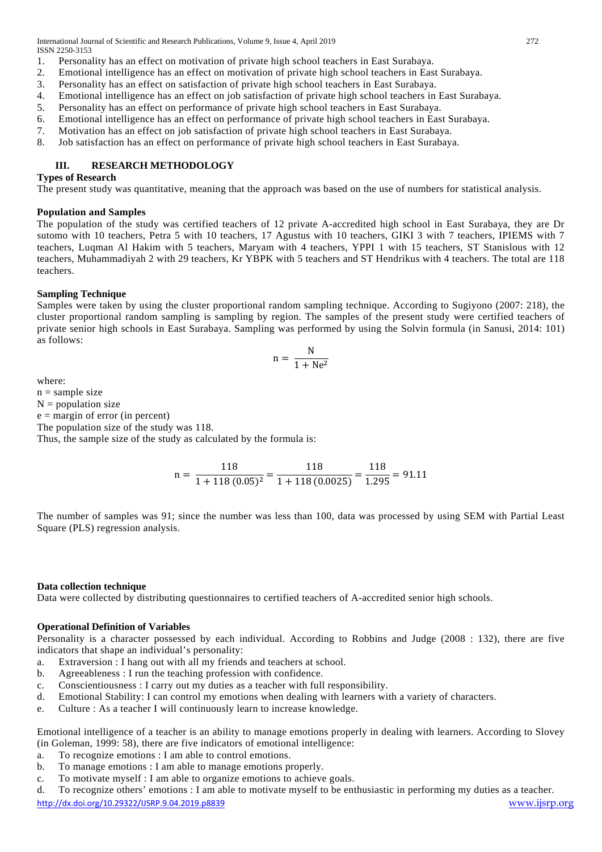- 1. Personality has an effect on motivation of private high school teachers in East Surabaya.
- 2. Emotional intelligence has an effect on motivation of private high school teachers in East Surabaya.
- 3. Personality has an effect on satisfaction of private high school teachers in East Surabaya.
- 4. Emotional intelligence has an effect on job satisfaction of private high school teachers in East Surabaya.
- 5. Personality has an effect on performance of private high school teachers in East Surabaya.
- 6. Emotional intelligence has an effect on performance of private high school teachers in East Surabaya.
- 7. Motivation has an effect on job satisfaction of private high school teachers in East Surabaya.
- 8. Job satisfaction has an effect on performance of private high school teachers in East Surabaya.

## **III. RESEARCH METHODOLOGY**

## **Types of Research**

The present study was quantitative, meaning that the approach was based on the use of numbers for statistical analysis.

#### **Population and Samples**

The population of the study was certified teachers of 12 private A-accredited high school in East Surabaya, they are Dr sutomo with 10 teachers, Petra 5 with 10 teachers, 17 Agustus with 10 teachers, GIKI 3 with 7 teachers, IPIEMS with 7 teachers, Luqman Al Hakim with 5 teachers, Maryam with 4 teachers, YPPI 1 with 15 teachers, ST Stanislous with 12 teachers, Muhammadiyah 2 with 29 teachers, Kr YBPK with 5 teachers and ST Hendrikus with 4 teachers. The total are 118 teachers.

## **Sampling Technique**

Samples were taken by using the cluster proportional random sampling technique. According to Sugiyono (2007: 218), the cluster proportional random sampling is sampling by region. The samples of the present study were certified teachers of private senior high schools in East Surabaya. Sampling was performed by using the Solvin formula (in Sanusi, 2014: 101) as follows:

$$
n = \frac{N}{1 + Ne^2}
$$

where:

 $n =$ sample size  $N =$  population size  $e = margin of error (in percent)$ The population size of the study was 118.

Thus, the sample size of the study as calculated by the formula is:

$$
n = \frac{118}{1 + 118 (0.05)^2} = \frac{118}{1 + 118 (0.0025)} = \frac{118}{1.295} = 91.11
$$

The number of samples was 91; since the number was less than 100, data was processed by using SEM with Partial Least Square (PLS) regression analysis.

## **Data collection technique**

Data were collected by distributing questionnaires to certified teachers of A-accredited senior high schools.

## **Operational Definition of Variables**

Personality is a character possessed by each individual. According to Robbins and Judge (2008 : 132), there are five indicators that shape an individual's personality:

- a. Extraversion : I hang out with all my friends and teachers at school.
- b. Agreeableness : I run the teaching profession with confidence.
- c. Conscientiousness : I carry out my duties as a teacher with full responsibility.
- d. Emotional Stability: I can control my emotions when dealing with learners with a variety of characters.
- e. Culture : As a teacher I will continuously learn to increase knowledge.

Emotional intelligence of a teacher is an ability to manage emotions properly in dealing with learners. According to Slovey (in Goleman, 1999: 58), there are five indicators of emotional intelligence:

- a. To recognize emotions : I am able to control emotions.
- b. To manage emotions : I am able to manage emotions properly.
- c. To motivate myself : I am able to organize emotions to achieve goals.

<http://dx.doi.org/10.29322/IJSRP.9.04.2019.p8839>[www.ijsrp.org](http://ijsrp.org/) d. To recognize others' emotions : I am able to motivate myself to be enthusiastic in performing my duties as a teacher.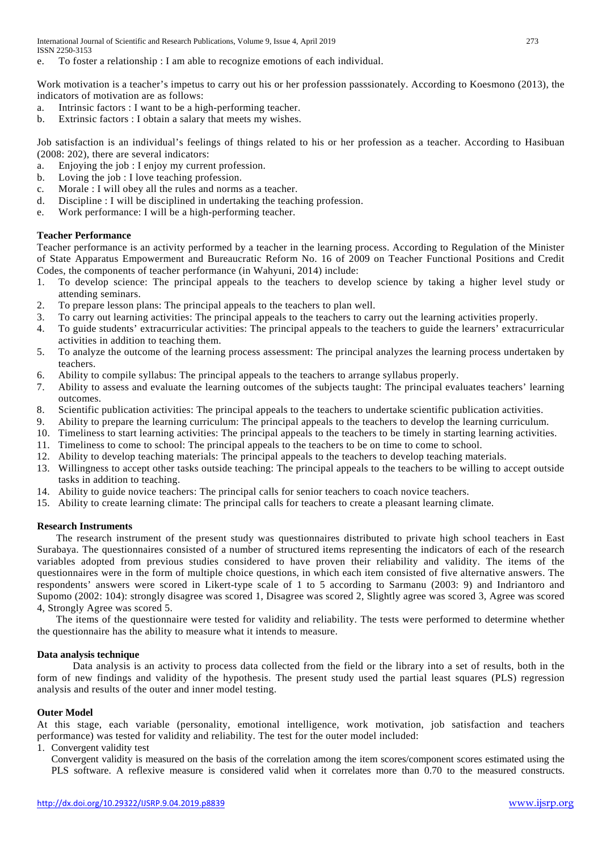e. To foster a relationship : I am able to recognize emotions of each individual.

Work motivation is a teacher's impetus to carry out his or her profession passsionately. According to Koesmono (2013), the indicators of motivation are as follows:

- a. Intrinsic factors : I want to be a high-performing teacher.
- b. Extrinsic factors : I obtain a salary that meets my wishes.

Job satisfaction is an individual's feelings of things related to his or her profession as a teacher. According to Hasibuan (2008: 202), there are several indicators:

- a. Enjoying the job : I enjoy my current profession.
- b. Loving the job : I love teaching profession.
- c. Morale : I will obey all the rules and norms as a teacher.
- d. Discipline : I will be disciplined in undertaking the teaching profession.
- e. Work performance: I will be a high-performing teacher.

## **Teacher Performance**

Teacher performance is an activity performed by a teacher in the learning process. According to Regulation of the Minister of State Apparatus Empowerment and Bureaucratic Reform No. 16 of 2009 on Teacher Functional Positions and Credit Codes, the components of teacher performance (in Wahyuni, 2014) include:

- 1. To develop science: The principal appeals to the teachers to develop science by taking a higher level study or attending seminars.
- 2. To prepare lesson plans: The principal appeals to the teachers to plan well.
- 3. To carry out learning activities: The principal appeals to the teachers to carry out the learning activities properly.
- 4. To guide students' extracurricular activities: The principal appeals to the teachers to guide the learners' extracurricular activities in addition to teaching them.
- 5. To analyze the outcome of the learning process assessment: The principal analyzes the learning process undertaken by teachers.
- 6. Ability to compile syllabus: The principal appeals to the teachers to arrange syllabus properly.
- 7. Ability to assess and evaluate the learning outcomes of the subjects taught: The principal evaluates teachers' learning outcomes.
- 8. Scientific publication activities: The principal appeals to the teachers to undertake scientific publication activities.
- 9. Ability to prepare the learning curriculum: The principal appeals to the teachers to develop the learning curriculum.
- 10. Timeliness to start learning activities: The principal appeals to the teachers to be timely in starting learning activities.
- 11. Timeliness to come to school: The principal appeals to the teachers to be on time to come to school.
- 12. Ability to develop teaching materials: The principal appeals to the teachers to develop teaching materials.
- 13. Willingness to accept other tasks outside teaching: The principal appeals to the teachers to be willing to accept outside tasks in addition to teaching.
- 14. Ability to guide novice teachers: The principal calls for senior teachers to coach novice teachers.
- 15. Ability to create learning climate: The principal calls for teachers to create a pleasant learning climate.

## **Research Instruments**

 The research instrument of the present study was questionnaires distributed to private high school teachers in East Surabaya. The questionnaires consisted of a number of structured items representing the indicators of each of the research variables adopted from previous studies considered to have proven their reliability and validity. The items of the questionnaires were in the form of multiple choice questions, in which each item consisted of five alternative answers. The respondents' answers were scored in Likert-type scale of 1 to 5 according to Sarmanu (2003: 9) and Indriantoro and Supomo (2002: 104): strongly disagree was scored 1, Disagree was scored 2, Slightly agree was scored 3, Agree was scored 4, Strongly Agree was scored 5.

 The items of the questionnaire were tested for validity and reliability. The tests were performed to determine whether the questionnaire has the ability to measure what it intends to measure.

## **Data analysis technique**

Data analysis is an activity to process data collected from the field or the library into a set of results, both in the form of new findings and validity of the hypothesis. The present study used the partial least squares (PLS) regression analysis and results of the outer and inner model testing.

## **Outer Model**

At this stage, each variable (personality, emotional intelligence, work motivation, job satisfaction and teachers performance) was tested for validity and reliability. The test for the outer model included:

1. Convergent validity test

Convergent validity is measured on the basis of the correlation among the item scores/component scores estimated using the PLS software. A reflexive measure is considered valid when it correlates more than 0.70 to the measured constructs.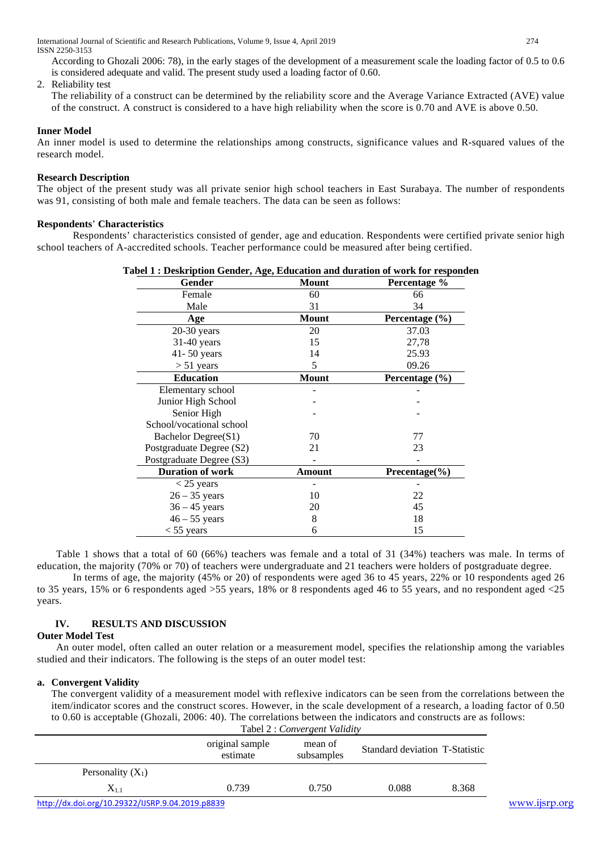International Journal of Scientific and Research Publications, Volume 9, Issue 4, April 2019 274 ISSN 2250-3153

According to Ghozali 2006: 78), in the early stages of the development of a measurement scale the loading factor of 0.5 to 0.6 is considered adequate and valid. The present study used a loading factor of 0.60.

#### 2. Reliability test

The reliability of a construct can be determined by the reliability score and the Average Variance Extracted (AVE) value of the construct. A construct is considered to a have high reliability when the score is 0.70 and AVE is above 0.50.

#### **Inner Model**

An inner model is used to determine the relationships among constructs, significance values and R-squared values of the research model.

#### **Research Description**

The object of the present study was all private senior high school teachers in East Surabaya. The number of respondents was 91, consisting of both male and female teachers. The data can be seen as follows:

#### **Respondents**' **Characteristics**

Respondents' characteristics consisted of gender, age and education. Respondents were certified private senior high school teachers of A-accredited schools. Teacher performance could be measured after being certified.

|  |  |  | Tabel 1 : Deskription Gender, Age, Education and duration of work for responden |  |  |  |  |
|--|--|--|---------------------------------------------------------------------------------|--|--|--|--|
|  |  |  |                                                                                 |  |  |  |  |

| Gender                   | <b>Mount</b>  | Percentage %       |
|--------------------------|---------------|--------------------|
| Female                   | 60            | 66                 |
| Male                     | 31            | 34                 |
| Age                      | <b>Mount</b>  | Percentage (%)     |
| $20-30$ years            | 20            | 37.03              |
| $31-40$ years            | 15            | 27,78              |
| 41-50 years              | 14            | 25.93              |
| $> 51$ years             | 5             | 09.26              |
| <b>Education</b>         | <b>Mount</b>  | Percentage (%)     |
| Elementary school        |               |                    |
| Junior High School       |               |                    |
| Senior High              |               |                    |
| School/vocational school |               |                    |
| Bachelor Degree(S1)      | 70            | 77                 |
| Postgraduate Degree (S2) | 21            | 23                 |
| Postgraduate Degree (S3) |               |                    |
| <b>Duration of work</b>  | <b>Amount</b> | Precentage $(\% )$ |
| $<$ 25 years             |               |                    |
| $26 - 35$ years          | 10            | 22                 |
| $36 - 45$ years          | 20            | 45                 |
| $46 - 55$ years          | 8             | 18                 |
| $<$ 55 years             | 6             | 15                 |

 Table 1 shows that a total of 60 (66%) teachers was female and a total of 31 (34%) teachers was male. In terms of education, the majority (70% or 70) of teachers were undergraduate and 21 teachers were holders of postgraduate degree.

In terms of age, the majority (45% or 20) of respondents were aged 36 to 45 years, 22% or 10 respondents aged 26 to 35 years, 15% or 6 respondents aged >55 years, 18% or 8 respondents aged 46 to 55 years, and no respondent aged <25 years.

## **IV. RESULT**S **AND DISCUSSION**

#### **Outer Model Test**

 An outer model, often called an outer relation or a measurement model, specifies the relationship among the variables studied and their indicators. The following is the steps of an outer model test:

## **a. Convergent Validity**

The convergent validity of a measurement model with reflexive indicators can be seen from the correlations between the item/indicator scores and the construct scores. However, in the scale development of a research, a loading factor of 0.50 to 0.60 is acceptable (Ghozali, 2006: 40). The correlations between the indicators and constructs are as follows: Tabel 2 : *Convergent Validity*

|                                                  |                             | $10001 = 10011101$    |                                |       |
|--------------------------------------------------|-----------------------------|-----------------------|--------------------------------|-------|
|                                                  | original sample<br>estimate | mean of<br>subsamples | Standard deviation T-Statistic |       |
| Personality $(X_1)$                              |                             |                       |                                |       |
| $X_{1.1}$                                        | 0.739                       | 0.750                 | 0.088                          | 8.368 |
| http://dx.doi.org/10.29322/IJSRP.9.04.2019.p8839 |                             |                       |                                |       |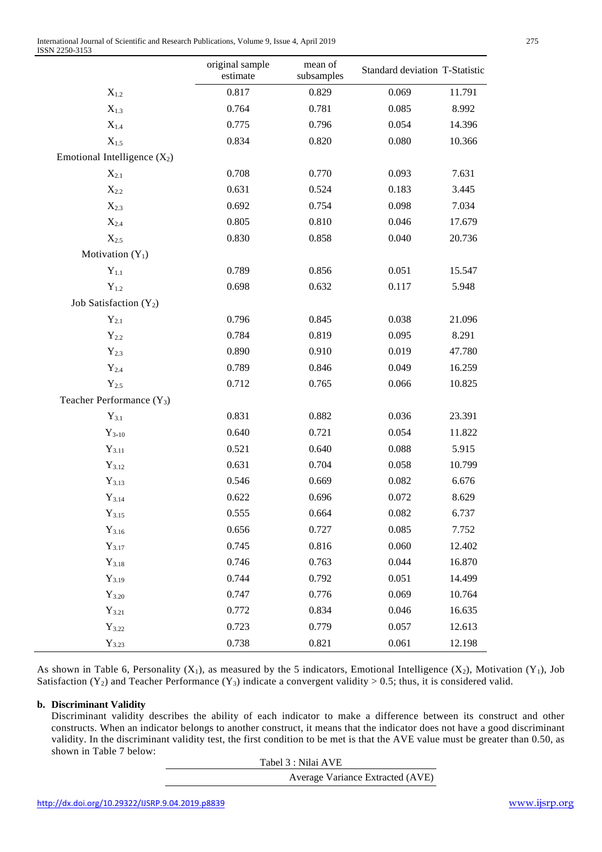|                                | original sample<br>estimate | mean of<br>subsamples | Standard deviation T-Statistic |        |
|--------------------------------|-----------------------------|-----------------------|--------------------------------|--------|
| $X_{1.2}$                      | 0.817                       | 0.829                 | 0.069                          | 11.791 |
| $X_{1.3}$                      | 0.764                       | 0.781                 | 0.085                          | 8.992  |
| $X_{1.4}$                      | 0.775                       | 0.796                 | 0.054                          | 14.396 |
| $X_{1.5}$                      | 0.834                       | 0.820                 | 0.080                          | 10.366 |
| Emotional Intelligence $(X_2)$ |                             |                       |                                |        |
| $X_{2.1}$                      | 0.708                       | 0.770                 | 0.093                          | 7.631  |
| $X_{2.2}$                      | 0.631                       | 0.524                 | 0.183                          | 3.445  |
| $X_{2.3}$                      | 0.692                       | 0.754                 | 0.098                          | 7.034  |
| $X_{2.4}$                      | 0.805                       | 0.810                 | 0.046                          | 17.679 |
| $X_{2.5}$                      | 0.830                       | 0.858                 | 0.040                          | 20.736 |
| Motivation $(Y_1)$             |                             |                       |                                |        |
| $Y_{1.1}$                      | 0.789                       | 0.856                 | 0.051                          | 15.547 |
| $Y_{1.2}$                      | 0.698                       | 0.632                 | 0.117                          | 5.948  |
| Job Satisfaction $(Y_2)$       |                             |                       |                                |        |
| $Y_{2.1}$                      | 0.796                       | 0.845                 | 0.038                          | 21.096 |
| $Y_{2,2}$                      | 0.784                       | 0.819                 | 0.095                          | 8.291  |
| $Y_{2.3}$                      | 0.890                       | 0.910                 | 0.019                          | 47.780 |
| $Y_{2.4}$                      | 0.789                       | 0.846                 | 0.049                          | 16.259 |
| $Y_{2.5}$                      | 0.712                       | 0.765                 | 0.066                          | 10.825 |
| Teacher Performance $(Y_3)$    |                             |                       |                                |        |
| $Y_{3.1}$                      | 0.831                       | 0.882                 | 0.036                          | 23.391 |
| $Y_{3 \cdot 10}$               | 0.640                       | 0.721                 | 0.054                          | 11.822 |
| $Y_{3.11}$                     | 0.521                       | 0.640                 | 0.088                          | 5.915  |
| $Y_{3.12}$                     | 0.631                       | 0.704                 | 0.058                          | 10.799 |
| $Y_{3.13}$                     | 0.546                       | 0.669                 | 0.082                          | 6.676  |
| $Y_{3.14}$                     | 0.622                       | 0.696                 | 0.072                          | 8.629  |
| $\mathbf{Y}_{3.15}$            | 0.555                       | 0.664                 | 0.082                          | 6.737  |
| $Y_{3.16}$                     | 0.656                       | 0.727                 | 0.085                          | 7.752  |
| $Y_{3.17}$                     | 0.745                       | 0.816                 | 0.060                          | 12.402 |
| $Y_{3.18}$                     | 0.746                       | 0.763                 | 0.044                          | 16.870 |
| $Y_{3.19}$                     | 0.744                       | 0.792                 | 0.051                          | 14.499 |
| $Y_{3.20}$                     | 0.747                       | 0.776                 | 0.069                          | 10.764 |
| $Y_{3.21}$                     | 0.772                       | 0.834                 | 0.046                          | 16.635 |
| $Y_{3.22}$                     | 0.723                       | 0.779                 | 0.057                          | 12.613 |
| $Y_{3.23}$                     | 0.738                       | 0.821                 | 0.061                          | 12.198 |

As shown in Table 6, Personality  $(X_1)$ , as measured by the 5 indicators, Emotional Intelligence  $(X_2)$ , Motivation  $(Y_1)$ , Job Satisfaction (Y<sub>2</sub>) and Teacher Performance (Y<sub>3</sub>) indicate a convergent validity > 0.5; thus, it is considered valid.

# **b. Discriminant Validity**

Discriminant validity describes the ability of each indicator to make a difference between its construct and other constructs. When an indicator belongs to another construct, it means that the indicator does not have a good discriminant validity. In the discriminant validity test, the first condition to be met is that the AVE value must be greater than 0.50, as shown in Table 7 below:

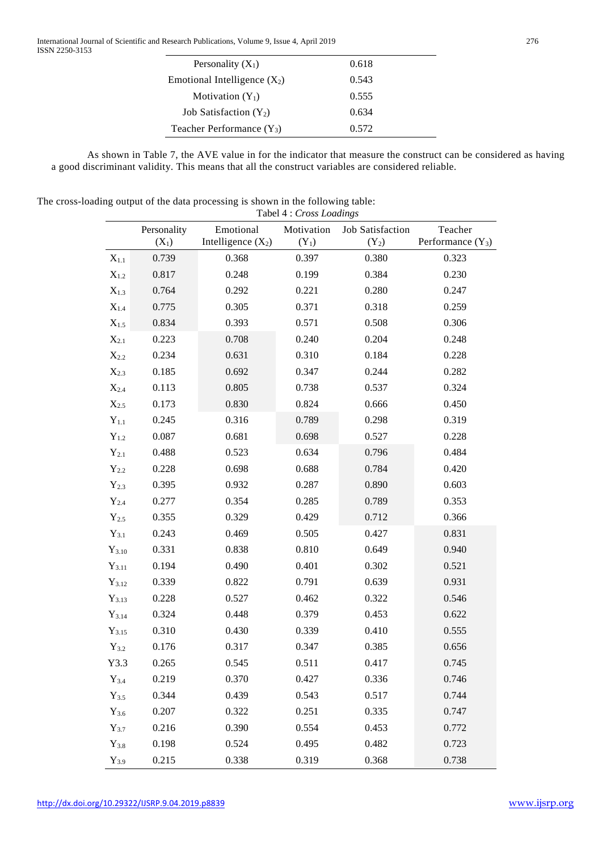| Personality $(X_1)$            | 0.618 |
|--------------------------------|-------|
| Emotional Intelligence $(X_2)$ | 0.543 |
| Motivation $(Y_1)$             | 0.555 |
| Job Satisfaction $(Y_2)$       | 0.634 |
| Teacher Performance $(Y_3)$    | 0.572 |

As shown in Table 7, the AVE value in for the indicator that measure the construct can be considered as having a good discriminant validity. This means that all the construct variables are considered reliable.

|                    | Personality | Emotional            | Tabel 4. Cross <i>Loudings</i><br>Motivation | Job Satisfaction | Teacher             |
|--------------------|-------------|----------------------|----------------------------------------------|------------------|---------------------|
|                    | $(X_1)$     | Intelligence $(X_2)$ | $(Y_1)$                                      | $(Y_2)$          | Performance $(Y_3)$ |
| $X_{1.1}$          | 0.739       | 0.368                | 0.397                                        | 0.380            | 0.323               |
| $X_{1.2}$          | 0.817       | 0.248                | 0.199                                        | 0.384            | 0.230               |
| $X_{1.3}$          | 0.764       | 0.292                | 0.221                                        | 0.280            | 0.247               |
| $X_{1.4}$          | 0.775       | 0.305                | 0.371                                        | 0.318            | 0.259               |
| $X_{1.5}$          | 0.834       | 0.393                | 0.571                                        | 0.508            | 0.306               |
| $X_{2.1}$          | 0.223       | 0.708                | 0.240                                        | 0.204            | 0.248               |
| $X_{2.2}$          | 0.234       | 0.631                | 0.310                                        | 0.184            | 0.228               |
| $X_{2.3}$          | 0.185       | 0.692                | 0.347                                        | 0.244            | 0.282               |
| $X_{2.4}$          | 0.113       | 0.805                | 0.738                                        | 0.537            | 0.324               |
| $X_{2.5}$          | 0.173       | 0.830                | 0.824                                        | 0.666            | 0.450               |
| $\mathbf{Y}_{1.1}$ | 0.245       | 0.316                | 0.789                                        | 0.298            | 0.319               |
| $Y_{1.2}$          | 0.087       | 0.681                | 0.698                                        | 0.527            | 0.228               |
| $Y_{2.1}$          | 0.488       | 0.523                | 0.634                                        | 0.796            | 0.484               |
| $Y_{2,2}$          | 0.228       | 0.698                | 0.688                                        | 0.784            | 0.420               |
| $Y_{2.3}$          | 0.395       | 0.932                | 0.287                                        | 0.890            | 0.603               |
| $Y_{2.4}$          | 0.277       | 0.354                | 0.285                                        | 0.789            | 0.353               |
| $Y_{2.5}$          | 0.355       | 0.329                | 0.429                                        | 0.712            | 0.366               |
| $\mathbf{Y}_{3.1}$ | 0.243       | 0.469                | 0.505                                        | 0.427            | 0.831               |
| $Y_{3.10}$         | 0.331       | 0.838                | 0.810                                        | 0.649            | 0.940               |
| $Y_{3.11}$         | 0.194       | 0.490                | 0.401                                        | 0.302            | 0.521               |
| $Y_{3.12}$         | 0.339       | 0.822                | 0.791                                        | 0.639            | 0.931               |
| $Y_{3.13}$         | 0.228       | 0.527                | 0.462                                        | 0.322            | 0.546               |
| $Y_{3.14}$         | 0.324       | 0.448                | 0.379                                        | 0.453            | 0.622               |
| $Y_{3.15}$         | 0.310       | 0.430                | 0.339                                        | 0.410            | 0.555               |
| $Y_{3.2}$          | 0.176       | 0.317                | 0.347                                        | 0.385            | 0.656               |
| Y3.3               | 0.265       | 0.545                | 0.511                                        | 0.417            | 0.745               |
| $Y_{3.4}$          | 0.219       | 0.370                | 0.427                                        | 0.336            | 0.746               |
| $Y_{3.5}$          | 0.344       | 0.439                | 0.543                                        | 0.517            | 0.744               |
| $Y_{3.6}$          | 0.207       | 0.322                | 0.251                                        | 0.335            | 0.747               |
| $Y_{3.7}$          | 0.216       | 0.390                | 0.554                                        | 0.453            | 0.772               |
| $Y_{3.8}$          | 0.198       | 0.524                | 0.495                                        | 0.482            | 0.723               |
| $Y_{3.9}$          | 0.215       | 0.338                | 0.319                                        | 0.368            | 0.738               |

The cross-loading output of the data processing is shown in the following table: Tabel 4 : *Cross Loadings*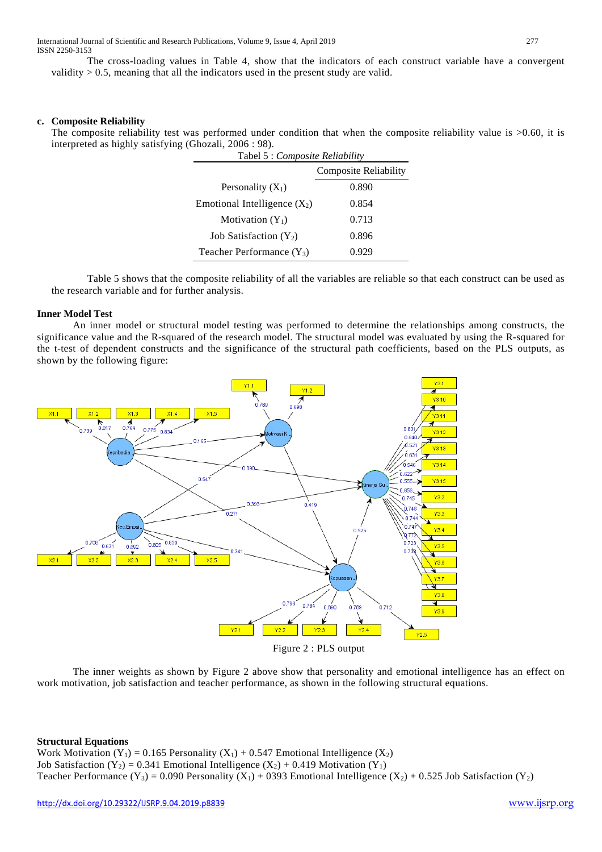The cross-loading values in Table 4, show that the indicators of each construct variable have a convergent validity > 0.5, meaning that all the indicators used in the present study are valid.

#### **c. Composite Reliability**

The composite reliability test was performed under condition that when the composite reliability value is  $>0.60$ , it is interpreted as highly satisfying (Ghozali, 2006 : 98).

| Tabel 5 : Composite Reliability |                              |  |  |  |  |
|---------------------------------|------------------------------|--|--|--|--|
|                                 | <b>Composite Reliability</b> |  |  |  |  |
| Personality $(X_1)$             | 0.890                        |  |  |  |  |
| Emotional Intelligence $(X_2)$  | 0.854                        |  |  |  |  |
| Motivation $(Y_1)$              | 0.713                        |  |  |  |  |
| Job Satisfaction $(Y_2)$        | 0.896                        |  |  |  |  |
| Teacher Performance $(Y_3)$     | 0.929                        |  |  |  |  |

Table 5 shows that the composite reliability of all the variables are reliable so that each construct can be used as the research variable and for further analysis.

#### **Inner Model Test**

An inner model or structural model testing was performed to determine the relationships among constructs, the significance value and the R-squared of the research model. The structural model was evaluated by using the R-squared for the t-test of dependent constructs and the significance of the structural path coefficients, based on the PLS outputs, as shown by the following figure:



The inner weights as shown by Figure 2 above show that personality and emotional intelligence has an effect on work motivation, job satisfaction and teacher performance, as shown in the following structural equations.

#### **Structural Equations**

Work Motivation  $(Y_1) = 0.165$  Personality  $(X_1) + 0.547$  Emotional Intelligence  $(X_2)$ Job Satisfaction (Y<sub>2</sub>) = 0.341 Emotional Intelligence (X<sub>2</sub>) + 0.419 Motivation (Y<sub>1</sub>) Teacher Performance (Y<sub>3</sub>) = 0.090 Personality (X<sub>1</sub>) + 0393 Emotional Intelligence (X<sub>2</sub>) + 0.525 Job Satisfaction (Y<sub>2</sub>)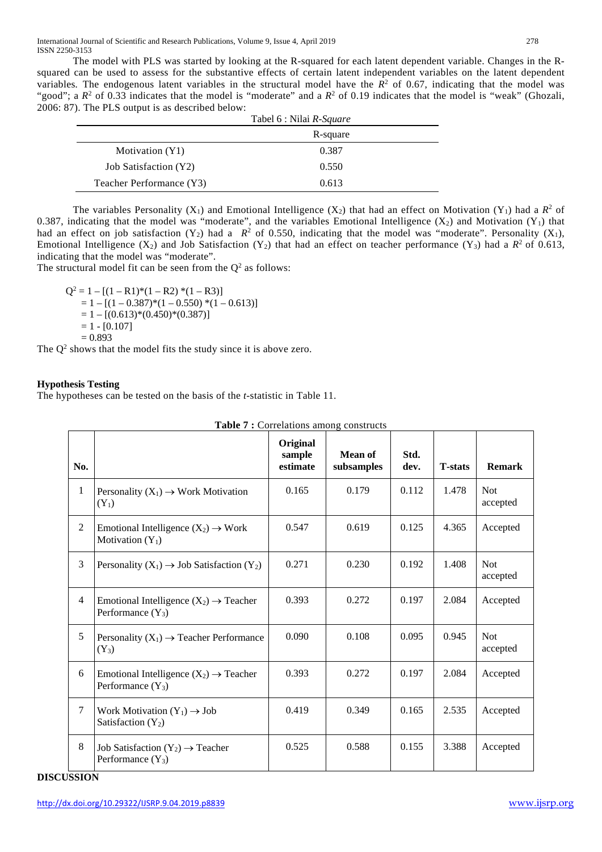The model with PLS was started by looking at the R-squared for each latent dependent variable. Changes in the Rsquared can be used to assess for the substantive effects of certain latent independent variables on the latent dependent variables. The endogenous latent variables in the structural model have the  $R^2$  of 0.67, indicating that the model was "good"; a  $R^2$  of 0.33 indicates that the model is "moderate" and a  $R^2$  of 0.19 indicates that the model is "weak" (Ghozali, 2006: 87). The PLS output is as described below:

|                          | Tabel 6 : Nilai <i>R-Square</i> |  |  |
|--------------------------|---------------------------------|--|--|
|                          | R-square                        |  |  |
| Motivation (Y1)          | 0.387                           |  |  |
| Job Satisfaction (Y2)    | 0.550                           |  |  |
| Teacher Performance (Y3) | 0.613                           |  |  |

The variables Personality (X<sub>1</sub>) and Emotional Intelligence (X<sub>2</sub>) that had an effect on Motivation (Y<sub>1</sub>) had a  $R^2$  of 0.387, indicating that the model was "moderate", and the variables Emotional Intelligence  $(X_2)$  and Motivation  $(Y_1)$  that had an effect on job satisfaction (Y<sub>2</sub>) had a  $R^2$  of 0.550, indicating that the model was "moderate". Personality (X<sub>1</sub>), Emotional Intelligence  $(X_2)$  and Job Satisfaction  $(Y_2)$  that had an effect on teacher performance  $(Y_3)$  had a  $R^2$  of 0.613, indicating that the model was "moderate".

The structural model fit can be seen from the  $Q^2$  as follows:

 $Q^2 = 1 - [(1 - R1)*(1 - R2)*(1 - R3)]$  $= 1 - [(1 - 0.387)*(1 - 0.550)*(1 - 0.613)]$  $= 1 - [(0.613)*(0.450)*(0.387)]$  $= 1 - [0.107]$  $= 0.893$ 

The  $Q<sup>2</sup>$  shows that the model fits the study since it is above zero.

# **Hypothesis Testing**

The hypotheses can be tested on the basis of the *t*-statistic in Table 11.

| No.            |                                                                           | Original<br>sample<br>estimate | Mean of<br>subsamples | Std.<br>dev. | <b>T-stats</b> | <b>Remark</b>          |
|----------------|---------------------------------------------------------------------------|--------------------------------|-----------------------|--------------|----------------|------------------------|
| 1              | Personality $(X_1) \rightarrow$ Work Motivation<br>$(Y_1)$                | 0.165                          | 0.179                 | 0.112        | 1.478          | <b>Not</b><br>accepted |
| 2              | Emotional Intelligence $(X_2) \rightarrow Work$<br>Motivation $(Y_1)$     | 0.547                          | 0.619                 | 0.125        | 4.365          | Accepted               |
| 3              | Personality $(X_1) \rightarrow$ Job Satisfaction $(Y_2)$                  | 0.271                          | 0.230                 | 0.192        | 1.408          | <b>Not</b><br>accepted |
| $\overline{4}$ | Emotional Intelligence $(X_2) \rightarrow$ Teacher<br>Performance $(Y_3)$ | 0.393                          | 0.272                 | 0.197        | 2.084          | Accepted               |
| 5              | Personality $(X_1) \rightarrow$ Teacher Performance<br>$(Y_3)$            | 0.090                          | 0.108                 | 0.095        | 0.945          | <b>Not</b><br>accepted |
| 6              | Emotional Intelligence $(X_2) \rightarrow$ Teacher<br>Performance $(Y_3)$ | 0.393                          | 0.272                 | 0.197        | 2.084          | Accepted               |
| 7              | Work Motivation $(Y_1) \rightarrow$ Job<br>Satisfaction $(Y_2)$           | 0.419                          | 0.349                 | 0.165        | 2.535          | Accepted               |
| 8              | Job Satisfaction $(Y_2) \rightarrow$ Teacher<br>Performance $(Y_3)$       | 0.525                          | 0.588                 | 0.155        | 3.388          | Accepted               |

| Table 7 : Correlations among constructs |  |  |
|-----------------------------------------|--|--|
|-----------------------------------------|--|--|

# **DISCUSSION**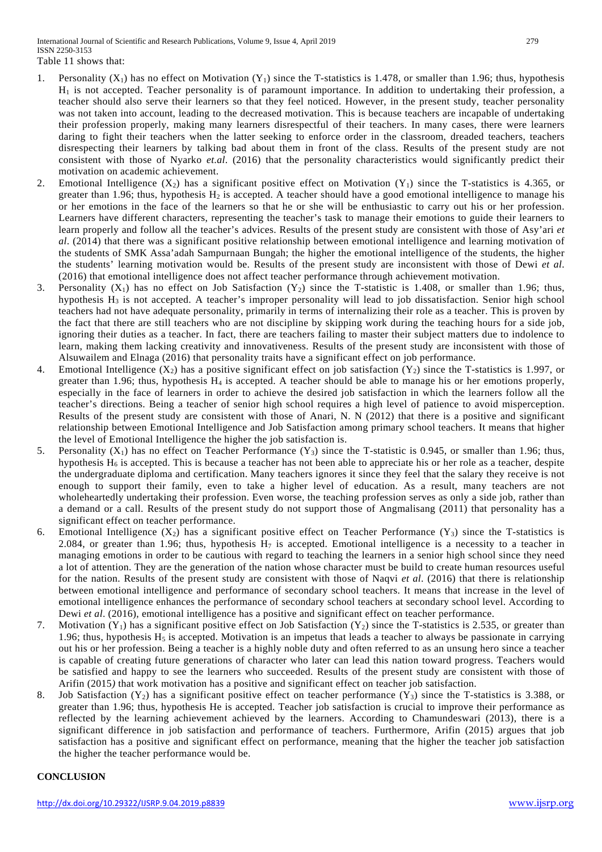- 1. Personality  $(X_1)$  has no effect on Motivation  $(Y_1)$  since the T-statistics is 1.478, or smaller than 1.96; thus, hypothesis H1 is not accepted. Teacher personality is of paramount importance. In addition to undertaking their profession, a teacher should also serve their learners so that they feel noticed. However, in the present study, teacher personality was not taken into account, leading to the decreased motivation. This is because teachers are incapable of undertaking their profession properly, making many learners disrespectful of their teachers. In many cases, there were learners daring to fight their teachers when the latter seeking to enforce order in the classroom, dreaded teachers, teachers disrespecting their learners by talking bad about them in front of the class. Results of the present study are not consistent with those of Nyarko *et*.*al*. (2016) that the personality characteristics would significantly predict their motivation on academic achievement.
- 2. Emotional Intelligence  $(X_2)$  has a significant positive effect on Motivation  $(Y_1)$  since the T-statistics is 4.365, or greater than 1.96; thus, hypothesis  $H_2$  is accepted. A teacher should have a good emotional intelligence to manage his or her emotions in the face of the learners so that he or she will be enthusiastic to carry out his or her profession. Learners have different characters, representing the teacher's task to manage their emotions to guide their learners to learn properly and follow all the teacher's advices. Results of the present study are consistent with those of Asy'ari *et al*. (2014) that there was a significant positive relationship between emotional intelligence and learning motivation of the students of SMK Assa'adah Sampurnaan Bungah; the higher the emotional intelligence of the students, the higher the students' learning motivation would be. Results of the present study are inconsistent with those of Dewi *et al*. (2016) that emotional intelligence does not affect teacher performance through achievement motivation.
- 3. Personality  $(X_1)$  has no effect on Job Satisfaction  $(Y_2)$  since the T-statistic is 1.408, or smaller than 1.96; thus, hypothesis  $H_3$  is not accepted. A teacher's improper personality will lead to job dissatisfaction. Senior high school teachers had not have adequate personality, primarily in terms of internalizing their role as a teacher. This is proven by the fact that there are still teachers who are not discipline by skipping work during the teaching hours for a side job, ignoring their duties as a teacher. In fact, there are teachers failing to master their subject matters due to indolence to learn, making them lacking creativity and innovativeness. Results of the present study are inconsistent with those of Alsuwailem and Elnaga (2016) that personality traits have a significant effect on job performance.
- 4. Emotional Intelligence  $(X_2)$  has a positive significant effect on job satisfaction  $(Y_2)$  since the T-statistics is 1.997, or greater than 1.96; thus, hypothesis  $H_4$  is accepted. A teacher should be able to manage his or her emotions properly, especially in the face of learners in order to achieve the desired job satisfaction in which the learners follow all the teacher's directions. Being a teacher of senior high school requires a high level of patience to avoid misperception. Results of the present study are consistent with those of Anari, N. N (2012) that there is a positive and significant relationship between Emotional Intelligence and Job Satisfaction among primary school teachers. It means that higher the level of Emotional Intelligence the higher the job satisfaction is.
- Personality  $(X_1)$  has no effect on Teacher Performance  $(Y_3)$  since the T-statistic is 0.945, or smaller than 1.96; thus, hypothesis  $H_6$  is accepted. This is because a teacher has not been able to appreciate his or her role as a teacher, despite the undergraduate diploma and certification. Many teachers ignores it since they feel that the salary they receive is not enough to support their family, even to take a higher level of education. As a result, many teachers are not wholeheartedly undertaking their profession. Even worse, the teaching profession serves as only a side job, rather than a demand or a call. Results of the present study do not support those of Angmalisang (2011) that personality has a significant effect on teacher performance.
- 6. Emotional Intelligence  $(X_2)$  has a significant positive effect on Teacher Performance  $(Y_3)$  since the T-statistics is 2.084, or greater than 1.96; thus, hypothesis  $H_7$  is accepted. Emotional intelligence is a necessity to a teacher in managing emotions in order to be cautious with regard to teaching the learners in a senior high school since they need a lot of attention. They are the generation of the nation whose character must be build to create human resources useful for the nation. Results of the present study are consistent with those of Naqvi *et al*. (2016) that there is relationship between emotional intelligence and performance of secondary school teachers. It means that increase in the level of emotional intelligence enhances the performance of secondary school teachers at secondary school level. According to Dewi *et al*. (2016), emotional intelligence has a positive and significant effect on teacher performance.
- 7. Motivation  $(Y_1)$  has a significant positive effect on Job Satisfaction  $(Y_2)$  since the T-statistics is 2.535, or greater than 1.96; thus, hypothesis  $H_5$  is accepted. Motivation is an impetus that leads a teacher to always be passionate in carrying out his or her profession. Being a teacher is a highly noble duty and often referred to as an unsung hero since a teacher is capable of creating future generations of character who later can lead this nation toward progress. Teachers would be satisfied and happy to see the learners who succeeded. Results of the present study are consistent with those of Arifin (2015*)* that work motivation has a positive and significant effect on teacher job satisfaction.
- Job Satisfaction (Y<sub>2</sub>) has a significant positive effect on teacher performance (Y<sub>3</sub>) since the T-statistics is 3.388, or greater than 1.96; thus, hypothesis He is accepted. Teacher job satisfaction is crucial to improve their performance as reflected by the learning achievement achieved by the learners. According to Chamundeswari (2013), there is a significant difference in job satisfaction and performance of teachers. Furthermore, Arifin (2015) argues that job satisfaction has a positive and significant effect on performance, meaning that the higher the teacher job satisfaction the higher the teacher performance would be.

## **CONCLUSION**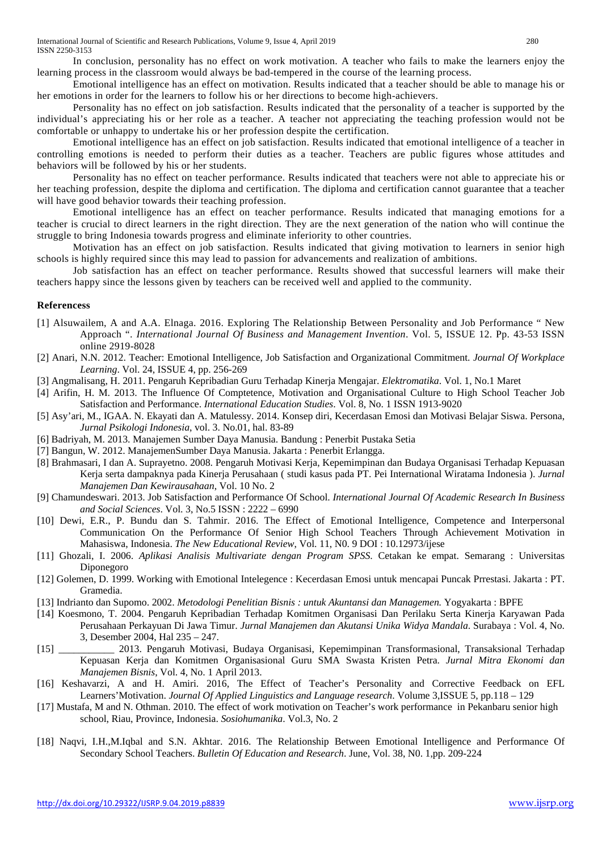In conclusion, personality has no effect on work motivation. A teacher who fails to make the learners enjoy the learning process in the classroom would always be bad-tempered in the course of the learning process.

Emotional intelligence has an effect on motivation. Results indicated that a teacher should be able to manage his or her emotions in order for the learners to follow his or her directions to become high-achievers.

Personality has no effect on job satisfaction. Results indicated that the personality of a teacher is supported by the individual's appreciating his or her role as a teacher. A teacher not appreciating the teaching profession would not be comfortable or unhappy to undertake his or her profession despite the certification.

Emotional intelligence has an effect on job satisfaction. Results indicated that emotional intelligence of a teacher in controlling emotions is needed to perform their duties as a teacher. Teachers are public figures whose attitudes and behaviors will be followed by his or her students.

Personality has no effect on teacher performance. Results indicated that teachers were not able to appreciate his or her teaching profession, despite the diploma and certification. The diploma and certification cannot guarantee that a teacher will have good behavior towards their teaching profession.

Emotional intelligence has an effect on teacher performance. Results indicated that managing emotions for a teacher is crucial to direct learners in the right direction. They are the next generation of the nation who will continue the struggle to bring Indonesia towards progress and eliminate inferiority to other countries.

Motivation has an effect on job satisfaction. Results indicated that giving motivation to learners in senior high schools is highly required since this may lead to passion for advancements and realization of ambitions.

Job satisfaction has an effect on teacher performance. Results showed that successful learners will make their teachers happy since the lessons given by teachers can be received well and applied to the community.

#### **Referencess**

- [1] Alsuwailem, A and A.A. Elnaga. 2016. Exploring The Relationship Between Personality and Job Performance " New Approach ". *International Journal Of Business and Management Invention*. Vol. 5, ISSUE 12. Pp. 43-53 ISSN online 2919-8028
- [2] Anari, N.N. 2012. Teacher: Emotional Intelligence, Job Satisfaction and Organizational Commitment. *Journal Of Workplace Learning*. Vol. 24, ISSUE 4, pp. 256-269
- [3] Angmalisang, H. 2011. Pengaruh Kepribadian Guru Terhadap Kinerja Mengajar. *Elektromatika*. Vol. 1, No.1 Maret
- [4] Arifin, H. M. 2013. The Influence Of Comptetence, Motivation and Organisational Culture to High School Teacher Job Satisfaction and Performance. *International Education Studies*. Vol. 8, No. 1 ISSN 1913-9020
- [5] Asy'ari, M., IGAA. N. Ekayati dan A. Matulessy. 2014. Konsep diri, Kecerdasan Emosi dan Motivasi Belajar Siswa. Persona, *Jurnal Psikologi Indonesia*, vol. 3. No.01, hal. 83-89
- [6] Badriyah, M. 2013. Manajemen Sumber Daya Manusia. Bandung : Penerbit Pustaka Setia
- [7] Bangun, W. 2012. ManajemenSumber Daya Manusia. Jakarta : Penerbit Erlangga.
- [8] Brahmasari, I dan A. Suprayetno. 2008. Pengaruh Motivasi Kerja, Kepemimpinan dan Budaya Organisasi Terhadap Kepuasan Kerja serta dampaknya pada Kinerja Perusahaan ( studi kasus pada PT. Pei International Wiratama Indonesia ). *Jurnal Manajemen Dan Kewirausahaan*, Vol. 10 No. 2
- [9] Chamundeswari. 2013. Job Satisfaction and Performance Of School. *International Journal Of Academic Research In Business and Social Sciences*. Vol. 3, No.5 ISSN : 2222 – 6990
- [10] Dewi, E.R., P. Bundu dan S. Tahmir. 2016. The Effect of Emotional Intelligence, Competence and Interpersonal Communication On the Performance Of Senior High School Teachers Through Achievement Motivation in Mahasiswa, Indonesia. *The New Educational Review*, Vol. 11, N0. 9 DOI : 10.12973/ijese
- [11] Ghozali, I. 2006. *Aplikasi Analisis Multivariate dengan Program SPSS*. Cetakan ke empat. Semarang : Universitas Diponegoro
- [12] Golemen, D. 1999. Working with Emotional Intelegence : Kecerdasan Emosi untuk mencapai Puncak Prrestasi. Jakarta : PT. Gramedia.
- [13] Indrianto dan Supomo. 2002. *Metodologi Penelitian Bisnis : untuk Akuntansi dan Managemen.* Yogyakarta : BPFE
- [14] Koesmono, T. 2004. Pengaruh Kepribadian Terhadap Komitmen Organisasi Dan Perilaku Serta Kinerja Karyawan Pada Perusahaan Perkayuan Di Jawa Timur. *Jurnal Manajemen dan Akutansi Unika Widya Mandala*. Surabaya : Vol. 4, No. 3, Desember 2004, Hal 235 – 247.
- [15] \_\_\_\_\_\_\_\_\_\_\_ 2013. Pengaruh Motivasi, Budaya Organisasi, Kepemimpinan Transformasional, Transaksional Terhadap Kepuasan Kerja dan Komitmen Organisasional Guru SMA Swasta Kristen Petra. *Jurnal Mitra Ekonomi dan Manajemen Bisnis*, Vol. 4, No. 1 April 2013.
- [16] Keshavarzi, A and H. Amiri. 2016, The Effect of Teacher's Personality and Corrective Feedback on EFL Learners'Motivation. *Journal Of Applied Linguistics and Language research*. Volume 3,ISSUE 5, pp.118 – 129
- [17] Mustafa, M and N. Othman. 2010. The effect of work motivation on Teacher's work performance in Pekanbaru senior high school, Riau, Province, Indonesia. *Sosiohumanika*. Vol.3, No. 2
- [18] Naqvi, I.H.,M.Iqbal and S.N. Akhtar. 2016. The Relationship Between Emotional Intelligence and Performance Of Secondary School Teachers. *Bulletin Of Education and Research*. June, Vol. 38, N0. 1,pp. 209-224